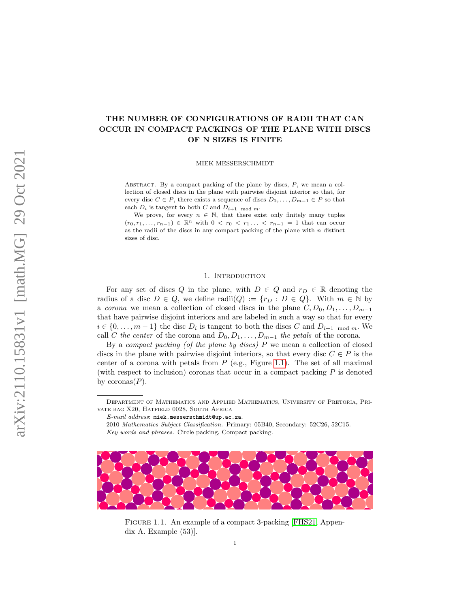# THE NUMBER OF CONFIGURATIONS OF RADII THAT CAN OCCUR IN COMPACT PACKINGS OF THE PLANE WITH DISCS OF N SIZES IS FINITE

MIEK MESSERSCHMIDT

ABSTRACT. By a compact packing of the plane by discs,  $P$ , we mean a collection of closed discs in the plane with pairwise disjoint interior so that, for every disc  $C \in P$ , there exists a sequence of discs  $D_0, \ldots, D_{m-1} \in P$  so that each  $D_i$  is tangent to both  $C$  and  $D_{i+1 \mod m}$ .

We prove, for every  $n \in \mathbb{N}$ , that there exist only finitely many tuples  $(r_0, r_1, \ldots, r_{n-1}) \in \mathbb{R}^n$  with  $0 < r_0 < r_1 \ldots < r_{n-1} = 1$  that can occur as the radii of the discs in any compact packing of the plane with  $n$  distinct sizes of disc.

## 1. INTRODUCTION

For any set of discs Q in the plane, with  $D \in Q$  and  $r_D \in \mathbb{R}$  denoting the radius of a disc  $D \in Q$ , we define radii $(Q) := \{r_D : D \in Q\}$ . With  $m \in \mathbb{N}$  by a corona we mean a collection of closed discs in the plane  $C, D_0, D_1, \ldots, D_{m-1}$ that have pairwise disjoint interiors and are labeled in such a way so that for every  $i \in \{0, \ldots, m-1\}$  the disc  $D_i$  is tangent to both the discs C and  $D_{i+1 \mod m}$ . We call C the center of the corona and  $D_0, D_1, \ldots, D_{m-1}$  the petals of the corona.

By a *compact packing (of the plane by discs)*  $P$  we mean a collection of closed discs in the plane with pairwise disjoint interiors, so that every disc  $C \in P$  is the center of a corona with petals from  $P$  (e.g., Figure [1.1\)](#page-0-0). The set of all maximal (with respect to inclusion) coronas that occur in a compact packing  $P$  is denoted by coronas $(P)$ .

Key words and phrases. Circle packing, Compact packing.



FIGURE 1.1. An example of a compact 3-packing [\[FHS21,](#page-14-0) Appendix A. Example (53)].

Department of Mathematics and Applied Mathematics, University of Pretoria, Private bag X20, Hatfield 0028, South Africa

E-mail address: miek.messerschmidt@up.ac.za.

<span id="page-0-0"></span><sup>2010</sup> Mathematics Subject Classification. Primary: 05B40, Secondary: 52C26, 52C15.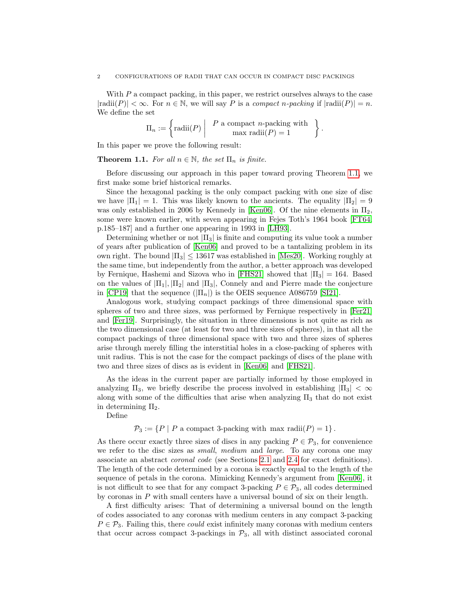With  $P$  a compact packing, in this paper, we restrict ourselves always to the case  $|\text{radii}(P)| < \infty$ . For  $n \in \mathbb{N}$ , we will say P is a compact n-packing if  $|\text{radii}(P)| = n$ . We define the set

$$
\Pi_n := \left\{ \text{radii}(P) \middle| P \text{ a compact } n\text{-packing with} \atop \text{max radii}(P) = 1 \right\}
$$

.

In this paper we prove the following result:

## <span id="page-1-0"></span>**Theorem 1.1.** For all  $n \in \mathbb{N}$ , the set  $\Pi_n$  is finite.

Before discussing our approach in this paper toward proving Theorem [1.1,](#page-1-0) we first make some brief historical remarks.

Since the hexagonal packing is the only compact packing with one size of disc we have  $|\Pi_1| = 1$ . This was likely known to the ancients. The equality  $|\Pi_2| = 9$ was only established in 2006 by Kennedy in [\[Ken06\]](#page-14-1). Of the nine elements in  $\Pi_2$ , some were known earlier, with seven appearing in Fejes Toth's 1964 book [\[FT64,](#page-14-2) p.185–187] and a further one appearing in 1993 in [\[LH93\]](#page-14-3).

Determining whether or not  $|\Pi_3|$  is finite and computing its value took a number of years after publication of [\[Ken06\]](#page-14-1) and proved to be a tantalizing problem in its own right. The bound  $|\Pi_3| \leq 13617$  was established in [\[Mes20\]](#page-14-4). Working roughly at the same time, but independently from the author, a better approach was developed by Fernique, Hashemi and Sizova who in [\[FHS21\]](#page-14-0) showed that  $|\Pi_3| = 164$ . Based on the values of  $|\Pi_1|, |\Pi_2|$  and  $|\Pi_3|$ , Connely and and Pierre made the conjecture in [\[CP19\]](#page-14-5) that the sequence  $(|\Pi_n|)$  is the OEIS sequence A086759 [\[SI21\]](#page-14-6).

Analogous work, studying compact packings of three dimensional space with spheres of two and three sizes, was performed by Fernique respectively in [\[Fer21\]](#page-14-7) and [\[Fer19\]](#page-14-8). Surprisingly, the situation in three dimensions is not quite as rich as the two dimensional case (at least for two and three sizes of spheres), in that all the compact packings of three dimensional space with two and three sizes of spheres arise through merely filling the interstitial holes in a close-packing of spheres with unit radius. This is not the case for the compact packings of discs of the plane with two and three sizes of discs as is evident in [\[Ken06\]](#page-14-1) and [\[FHS21\]](#page-14-0).

As the ideas in the current paper are partially informed by those employed in analyzing  $\Pi_3$ , we briefly describe the process involved in establishing  $|\Pi_3| < \infty$ along with some of the difficulties that arise when analyzing  $\Pi_3$  that do not exist in determining  $\Pi_2$ .

Define

 $\mathcal{P}_3 := \{ P \mid P \text{ a compact 3-packing with max radii}(P) = 1 \}.$ 

As there occur exactly three sizes of discs in any packing  $P \in \mathcal{P}_3$ , for convenience we refer to the disc sizes as *small*, medium and *large*. To any corona one may associate an abstract coronal code (see Sections [2.1](#page-4-0) and [2.4](#page-6-0) for exact definitions). The length of the code determined by a corona is exactly equal to the length of the sequence of petals in the corona. Mimicking Kennedy's argument from [\[Ken06\]](#page-14-1), it is not difficult to see that for any compact 3-packing  $P \in \mathcal{P}_3$ , all codes determined by coronas in  $P$  with small centers have a universal bound of six on their length.

A first difficulty arises: That of determining a universal bound on the length of codes associated to any coronas with medium centers in any compact 3-packing  $P \in \mathcal{P}_3$ . Failing this, there could exist infinitely many coronas with medium centers that occur across compact 3-packings in  $\mathcal{P}_3$ , all with distinct associated coronal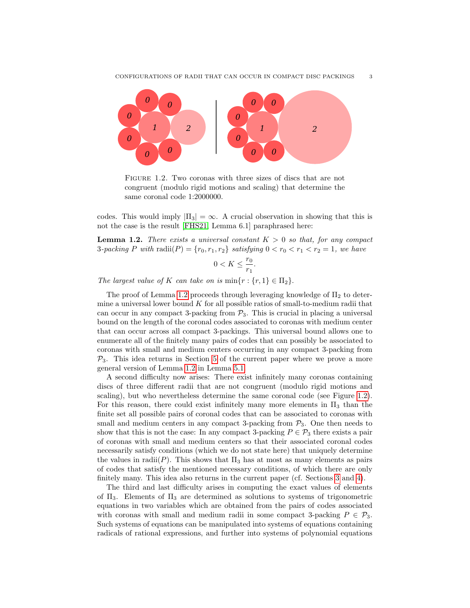

<span id="page-2-1"></span>FIGURE 1.2. Two coronas with three sizes of discs that are not congruent (modulo rigid motions and scaling) that determine the same coronal code 1:2000000.

codes. This would imply  $|\Pi_3| = \infty$ . A crucial observation in showing that this is not the case is the result [\[FHS21,](#page-14-0) Lemma 6.1] paraphrased here:

<span id="page-2-0"></span>**Lemma 1.2.** There exists a universal constant  $K > 0$  so that, for any compact 3-packing P with radii(P) =  $\{r_0, r_1, r_2\}$  satisfying  $0 < r_0 < r_1 < r_2 = 1$ , we have

$$
0 < K \le \frac{r_0}{r_1}.
$$

The largest value of K can take on is  $\min\{r : \{r,1\} \in \Pi_2\}.$ 

The proof of Lemma [1.2](#page-2-0) proceeds through leveraging knowledge of  $\Pi_2$  to determine a universal lower bound  $K$  for all possible ratios of small-to-medium radii that can occur in any compact 3-packing from  $P_3$ . This is crucial in placing a universal bound on the length of the coronal codes associated to coronas with medium center that can occur across all compact 3-packings. This universal bound allows one to enumerate all of the finitely many pairs of codes that can possibly be associated to coronas with small and medium centers occurring in any compact 3-packing from  $P_3$ . This idea returns in Section [5](#page-9-0) of the current paper where we prove a more general version of Lemma [1.2](#page-2-0) in Lemma [5.1.](#page-9-1)

A second difficulty now arises: There exist infinitely many coronas containing discs of three different radii that are not congruent (modulo rigid motions and scaling), but who nevertheless determine the same coronal code (see Figure [1.2\)](#page-2-1). For this reason, there could exist infinitely many more elements in  $\Pi_3$  than the finite set all possible pairs of coronal codes that can be associated to coronas with small and medium centers in any compact 3-packing from  $P_3$ . One then needs to show that this is not the case: In any compact 3-packing  $P \in \mathcal{P}_3$  there exists a pair of coronas with small and medium centers so that their associated coronal codes necessarily satisfy conditions (which we do not state here) that uniquely determine the values in radii(P). This shows that  $\Pi_3$  has at most as many elements as pairs of codes that satisfy the mentioned necessary conditions, of which there are only finitely many. This idea also returns in the current paper (cf. Sections [3](#page-6-1) and [4\)](#page-7-0).

The third and last difficulty arises in computing the exact values of elements of  $\Pi_3$ . Elements of  $\Pi_3$  are determined as solutions to systems of trigonometric equations in two variables which are obtained from the pairs of codes associated with coronas with small and medium radii in some compact 3-packing  $P \in \mathcal{P}_3$ . Such systems of equations can be manipulated into systems of equations containing radicals of rational expressions, and further into systems of polynomial equations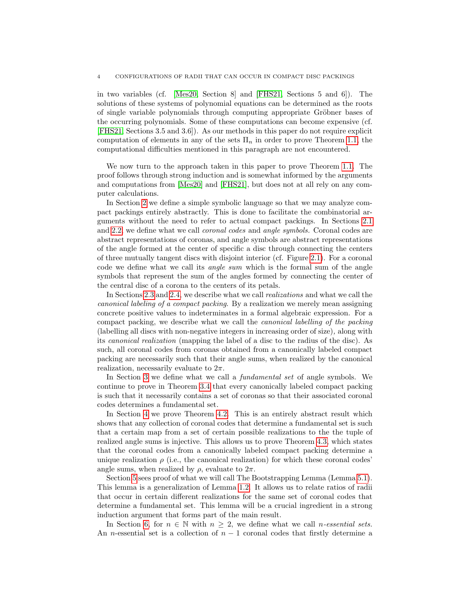in two variables (cf. [\[Mes20,](#page-14-4) Section 8] and [\[FHS21,](#page-14-0) Sections 5 and 6]). The solutions of these systems of polynomial equations can be determined as the roots of single variable polynomials through computing appropriate Gröbner bases of the occurring polynomials. Some of these computations can become expensive (cf. [\[FHS21,](#page-14-0) Sections 3.5 and 3.6]). As our methods in this paper do not require explicit computation of elements in any of the sets  $\Pi_n$  in order to prove Theorem [1.1,](#page-1-0) the computational difficulties mentioned in this paragraph are not encountered.

We now turn to the approach taken in this paper to prove Theorem [1.1.](#page-1-0) The proof follows through strong induction and is somewhat informed by the arguments and computations from [\[Mes20\]](#page-14-4) and [\[FHS21\]](#page-14-0), but does not at all rely on any computer calculations.

In Section [2](#page-4-1) we define a simple symbolic language so that we may analyze compact packings entirely abstractly. This is done to facilitate the combinatorial arguments without the need to refer to actual compact packings. In Sections [2.1](#page-4-0) and [2.2,](#page-4-2) we define what we call coronal codes and angle symbols. Coronal codes are abstract representations of coronas, and angle symbols are abstract representations of the angle formed at the center of specific a disc through connecting the centers of three mutually tangent discs with disjoint interior (cf. Figure [2.1\)](#page-5-0). For a coronal code we define what we call its angle sum which is the formal sum of the angle symbols that represent the sum of the angles formed by connecting the center of the central disc of a corona to the centers of its petals.

In Sections [2.3](#page-5-1) and [2.4,](#page-6-0) we describe what we call realizations and what we call the canonical labeling of a compact packing. By a realization we merely mean assigning concrete positive values to indeterminates in a formal algebraic expression. For a compact packing, we describe what we call the canonical labelling of the packing (labelling all discs with non-negative integers in increasing order of size), along with its canonical realization (mapping the label of a disc to the radius of the disc). As such, all coronal codes from coronas obtained from a canonically labeled compact packing are necessarily such that their angle sums, when realized by the canonical realization, necessarily evaluate to  $2\pi$ .

In Section [3](#page-6-1) we define what we call a *fundamental set* of angle symbols. We continue to prove in Theorem [3.4](#page-7-1) that every canonically labeled compact packing is such that it necessarily contains a set of coronas so that their associated coronal codes determines a fundamental set.

In Section [4](#page-7-0) we prove Theorem [4.2.](#page-8-0) This is an entirely abstract result which shows that any collection of coronal codes that determine a fundamental set is such that a certain map from a set of certain possible realizations to the the tuple of realized angle sums is injective. This allows us to prove Theorem [4.3,](#page-8-1) which states that the coronal codes from a canonically labeled compact packing determine a unique realization  $\rho$  (i.e., the canonical realization) for which these coronal codes' angle sums, when realized by  $\rho$ , evaluate to  $2\pi$ .

Section [5](#page-9-0) sees proof of what we will call The Bootstrapping Lemma (Lemma [5.1\)](#page-9-1). This lemma is a generalization of Lemma [1.2.](#page-2-0) It allows us to relate ratios of radii that occur in certain different realizations for the same set of coronal codes that determine a fundamental set. This lemma will be a crucial ingredient in a strong induction argument that forms part of the main result.

In Section [6,](#page-10-0) for  $n \in \mathbb{N}$  with  $n \geq 2$ , we define what we call *n*-essential sets. An n-essential set is a collection of  $n-1$  coronal codes that firstly determine a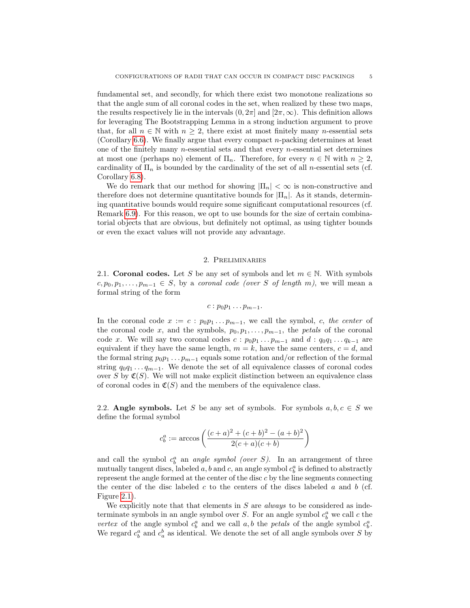fundamental set, and secondly, for which there exist two monotone realizations so that the angle sum of all coronal codes in the set, when realized by these two maps, the results respectively lie in the intervals  $(0, 2\pi]$  and  $[2\pi, \infty)$ . This definition allows for leveraging The Bootstrapping Lemma in a strong induction argument to prove that, for all  $n \in \mathbb{N}$  with  $n \geq 2$ , there exist at most finitely many *n*-essential sets (Corollary [6.6\)](#page-13-0). We finally argue that every compact n-packing determines at least one of the finitely many  $n$ -essential sets and that every  $n$ -essential set determines at most one (perhaps no) element of  $\Pi_n$ . Therefore, for every  $n \in \mathbb{N}$  with  $n \geq 2$ , cardinality of  $\Pi_n$  is bounded by the cardinality of the set of all *n*-essential sets (cf. Corollary [6.8\)](#page-13-1).

We do remark that our method for showing  $|\Pi_n| < \infty$  is non-constructive and therefore does not determine quantitative bounds for  $|\Pi_n|$ . As it stands, determining quantitative bounds would require some significant computational resources (cf. Remark [6.9\)](#page-13-2). For this reason, we opt to use bounds for the size of certain combinatorial objects that are obvious, but definitely not optimal, as using tighter bounds or even the exact values will not provide any advantage.

# 2. Preliminaries

<span id="page-4-1"></span><span id="page-4-0"></span>2.1. Coronal codes. Let S be any set of symbols and let  $m \in \mathbb{N}$ . With symbols  $c, p_0, p_1, \ldots, p_{m-1} \in S$ , by a coronal code (over S of length m), we will mean a formal string of the form

$$
c:p_0p_1\ldots p_{m-1}.
$$

In the coronal code  $x := c : p_0p_1 \dots p_{m-1}$ , we call the symbol, c, the center of the coronal code x, and the symbols,  $p_0, p_1, \ldots, p_{m-1}$ , the *petals* of the coronal code x. We will say two coronal codes  $c : p_0p_1 \dots p_{m-1}$  and  $d : q_0q_1 \dots q_{k-1}$  are equivalent if they have the same length,  $m = k$ , have the same centers,  $c = d$ , and the formal string  $p_0p_1 \tldots p_{m-1}$  equals some rotation and/or reflection of the formal string  $q_0q_1 \tldots q_{m-1}$ . We denote the set of all equivalence classes of coronal codes over S by  $\mathfrak{C}(S)$ . We will not make explicit distinction between an equivalence class of coronal codes in  $\mathfrak{C}(S)$  and the members of the equivalence class.

<span id="page-4-2"></span>2.2. Angle symbols. Let S be any set of symbols. For symbols  $a, b, c \in S$  we define the formal symbol

$$
c_b^a := \arccos\left(\frac{(c+a)^2 + (c+b)^2 - (a+b)^2}{2(c+a)(c+b)}\right)
$$

and call the symbol  $c_b^a$  an angle symbol (over S). In an arrangement of three mutually tangent discs, labeled  $a, b$  and  $c$ , an angle symbol  $c_b^a$  is defined to abstractly represent the angle formed at the center of the disc  $c$  by the line segments connecting the center of the disc labeled c to the centers of the discs labeled a and b (cf. Figure [2.1\)](#page-5-0).

We explicitly note that that elements in  $S$  are *always* to be considered as indeterminate symbols in an angle symbol over S. For an angle symbol  $c_b^a$  we call c the vertex of the angle symbol  $c_b^a$  and we call a, b the petals of the angle symbol  $c_b^a$ . We regard  $c_b^a$  and  $c_a^b$  as identical. We denote the set of all angle symbols over S by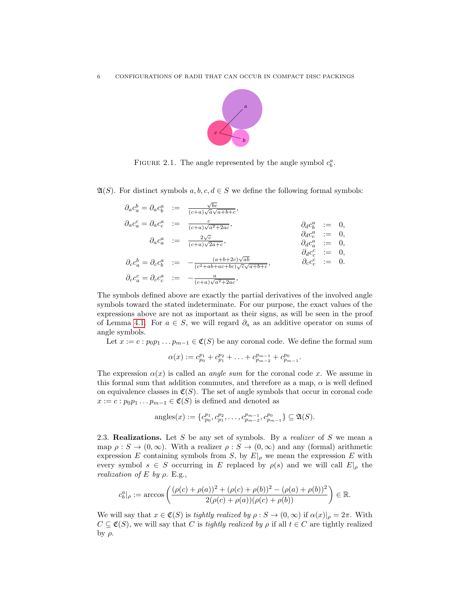

<span id="page-5-0"></span>FIGURE 2.1. The angle represented by the angle symbol  $c_b^a$ .

 $\mathfrak{A}(S)$ . For distinct symbols  $a, b, c, d \in S$  we define the following formal symbols:

|                                          | $\partial_a c_a^b = \partial_a c_b^a := \frac{\sqrt{bc}}{(c+a)\sqrt{a}\sqrt{a+b+c}},$        |                                                      |  |
|------------------------------------------|----------------------------------------------------------------------------------------------|------------------------------------------------------|--|
|                                          | $\partial_a c^c_a = \partial_a c^a_c \quad := \quad \mbox{$\frac{c}{(c+a)\sqrt{a^2+2ac}}$},$ | $\partial_d c^a_b$ := 0,                             |  |
|                                          | $\partial_a c_a^a = \frac{2\sqrt{c}}{(c+a)\sqrt{2a+c}},$                                     | $\partial_d c_c^a$ := 0,                             |  |
|                                          |                                                                                              | $\partial_d c_a^a := 0,$<br>$\partial_d c_c^c := 0,$ |  |
| $\partial_c c_a^b = \partial_c c_b^a$ := | $(a+b+2c)\sqrt{ab}$<br>$\frac{1}{(c^2+ab+ac+bc)\sqrt{c}\sqrt{a+b+c}}$                        | $\partial_c c_c^c$ := 0.                             |  |
| $\partial_c c_a^c = \partial_c c_c^a$ := | $-\frac{a}{(c+a)\sqrt{a^2+2ac}},$                                                            |                                                      |  |

The symbols defined above are exactly the partial derivatives of the involved angle symbols toward the stated indeterminate. For our purpose, the exact values of the expressions above are not as important as their signs, as will be seen in the proof of Lemma [4.1.](#page-7-2) For  $a \in S$ , we will regard  $\partial_a$  as an additive operator on sums of angle symbols.

Let  $x := c : p_0p_1 \dots p_{m-1} \in \mathfrak{C}(S)$  be any coronal code. We define the formal sum

$$
\alpha(x) := c_{p_0}^{p_1} + c_{p_1}^{p_2} + \ldots + c_{p_{m-2}}^{p_{m-1}} + c_{p_{m-1}}^{p_0}.
$$

The expression  $\alpha(x)$  is called an *angle sum* for the coronal code x. We assume in this formal sum that addition commutes, and therefore as a map,  $\alpha$  is well defined on equivalence classes in  $\mathfrak{C}(S)$ . The set of angle symbols that occur in coronal code  $x := c : p_0 p_1 \dots p_{m-1} \in \mathfrak{C}(S)$  is defined and denoted as

$$
angles(x) := \{c_{p_0}^{p_1}, c_{p_1}^{p_2}, \dots, c_{p_{m-2}}^{p_{m-1}}, c_{p_{m-1}}^{p_0}\} \subseteq \mathfrak{A}(S).
$$

<span id="page-5-1"></span>2.3. **Realizations.** Let S be any set of symbols. By a *realizer* of S we mean a map  $\rho : S \to (0, \infty)$ . With a realizer  $\rho : S \to (0, \infty)$  and any (formal) arithmetic expression E containing symbols from S, by  $E|_{\rho}$  we mean the expression E with every symbol  $s \in S$  occurring in E replaced by  $\rho(s)$  and we will call  $E|_{\rho}$  the realization of E by  $\rho$ . E.g.,

$$
c_b^a|_{\rho} := \arccos\left(\frac{(\rho(c) + \rho(a))^2 + (\rho(c) + \rho(b))^2 - (\rho(a) + \rho(b))^2}{2(\rho(c) + \rho(a))(\rho(c) + \rho(b))}\right) \in \mathbb{R}.
$$

We will say that  $x \in \mathfrak{C}(S)$  is tightly realized by  $\rho : S \to (0, \infty)$  if  $\alpha(x)|_{\rho} = 2\pi$ . With  $C \subseteq \mathfrak{C}(S)$ , we will say that C is tightly realized by  $\rho$  if all  $t \in C$  are tightly realized  $by$   $ρ$ .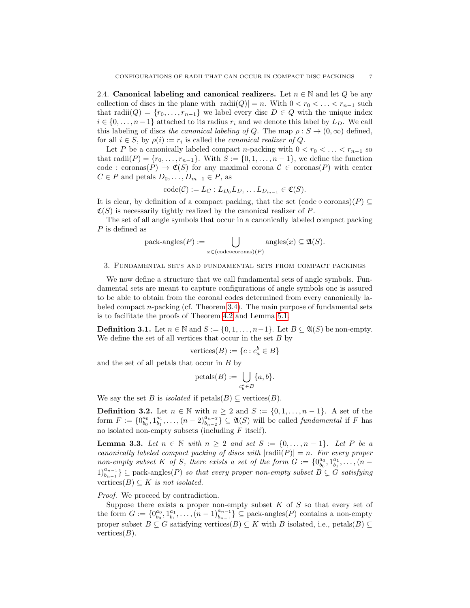<span id="page-6-0"></span>2.4. Canonical labeling and canonical realizers. Let  $n \in \mathbb{N}$  and let Q be any collection of discs in the plane with  $|radii(Q)| = n$ . With  $0 < r_0 < \ldots < r_{n-1}$  such that radii $(Q) = \{r_0, \ldots, r_{n-1}\}\$  we label every disc  $D \in Q$  with the unique index  $i \in \{0, \ldots, n-1\}$  attached to its radius  $r_i$  and we denote this label by  $L_D$ . We call this labeling of discs the canonical labeling of Q. The map  $\rho : S \to (0, \infty)$  defined, for all  $i \in S$ , by  $\rho(i) := r_i$  is called the *canonical realizer of Q*.

Let P be a canonically labeled compact n-packing with  $0 < r_0 < \ldots < r_{n-1}$  so that radii $(P) = \{r_0, \ldots, r_{n-1}\}.$  With  $S := \{0, 1, \ldots, n-1\}$ , we define the function code : coronas $(P) \to \mathfrak{C}(S)$  for any maximal corona  $\mathcal{C} \in \mathfrak{corons}(P)$  with center  $C \in P$  and petals  $D_0, \ldots, D_{m-1} \in P$ , as

$$
\mathrm{code}(\mathcal{C}) := L_C: L_{D_0} L_{D_1} \dots L_{D_{m-1}} \in \mathfrak{C}(S).
$$

It is clear, by definition of a compact packing, that the set  $(\text{code} \circ \text{coronas})(P) \subseteq$  $\mathfrak{C}(S)$  is necessarily tightly realized by the canonical realizer of P.

The set of all angle symbols that occur in a canonically labeled compact packing P is defined as

$$
pack\text{-angles}(P) := \bigcup_{x \in (\text{codeecoronas})(P)} \text{angles}(x) \subseteq \mathfrak{A}(S).
$$

<span id="page-6-1"></span>3. Fundamental sets and fundamental sets from compact packings

We now define a structure that we call fundamental sets of angle symbols. Fundamental sets are meant to capture configurations of angle symbols one is assured to be able to obtain from the coronal codes determined from every canonically labeled compact n-packing (cf. Theorem [3.4\)](#page-7-1). The main purpose of fundamental sets is to facilitate the proofs of Theorem [4.2](#page-8-0) and Lemma [5.1.](#page-9-1)

**Definition 3.1.** Let  $n \in \mathbb{N}$  and  $S := \{0, 1, \ldots, n-1\}$ . Let  $B \subseteq \mathfrak{A}(S)$  be non-empty. We define the set of all vertices that occur in the set  $B$  by

$$
vertices(B) := \{c : c_a^b \in B\}
$$

and the set of all petals that occur in  $B$  by

$$
\mathrm{petals}(B) := \bigcup_{c_b^a \in B} \{a, b\}.
$$

We say the set B is *isolated* if  $peta(S) \subseteq \text{vertices}(B)$ .

<span id="page-6-2"></span>**Definition 3.2.** Let  $n \in \mathbb{N}$  with  $n \geq 2$  and  $S := \{0, 1, \ldots, n-1\}$ . A set of the form  $F := \{0_{b_0}^{a_0}, 1_{b_1}^{a_1}, \ldots, (n-2)_{b_{n-2}}^{a_{n-2}}\}\subseteq \mathfrak{A}(S)$  will be called *fundamental* if F has no isolated non-empty subsets (including  $F$  itself).

<span id="page-6-3"></span>**Lemma 3.3.** Let  $n \in \mathbb{N}$  with  $n \geq 2$  and set  $S := \{0, \ldots, n-1\}$ . Let P be a canonically labeled compact packing of discs with  $|{\rm radii}(P)| = n$ . For every proper non-empty subset K of S, there exists a set of the form  $G := \{0_{b_0}^{a_0}, 1_{b_1}^{a_1}, \ldots, (n-1_{b_n})\}$  $1)_{b_{n-1}}^{a_{n-1}}$ } ⊆ pack-angles(P) so that every proper non-empty subset  $B \subsetneq G$  satisfying vertices( $B$ )  $\subset$  K is not isolated.

Proof. We proceed by contradiction.

Suppose there exists a proper non-empty subset  $K$  of  $S$  so that every set of the form  $G := \{0_{b_0}^{a_0}, 1_{b_1}^{a_1}, \ldots, (n-1)_{b_{n-1}}^{a_{n-1}}\} \subseteq \text{pack-angles}(P)$  contains a non-empty proper subset  $B \subsetneq G$  satisfying vertices $(B) \subseteq K$  with B isolated, i.e., petals $(B) \subseteq$ vertices $(B)$ .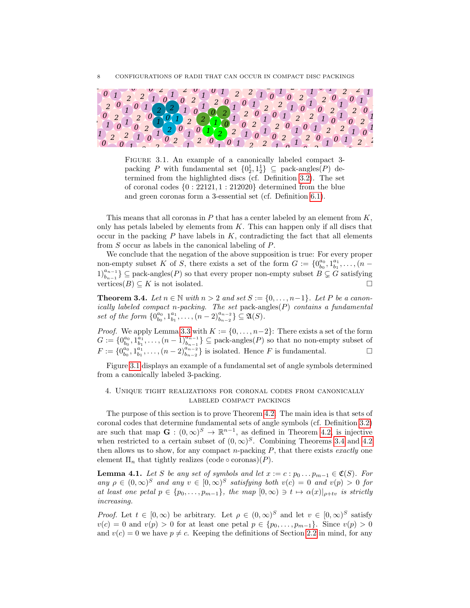

FIGURE 3.1. An example of a canonically labeled compact 3packing P with fundamental set  ${0, 1, 1, 1 \choose 2} \subseteq$  pack-angles(P) determined from the highlighted discs (cf. Definition [3.2\)](#page-6-2). The set of coronal codes  $\{0: 22121, 1: 212020\}$  determined from the blue and green coronas form a 3-essential set (cf. Definition [6.1\)](#page-10-1).

<span id="page-7-3"></span>This means that all coronas in  $P$  that has a center labeled by an element from  $K$ , only has petals labeled by elements from  $K$ . This can happen only if all discs that occur in the packing  $P$  have labels in  $K$ , contradicting the fact that all elements from S occur as labels in the canonical labeling of P.

We conclude that the negation of the above supposition is true: For every proper non-empty subset K of S, there exists a set of the form  $G := \{0_{b_0}^{a_0}, 1_{b_1}^{a_1}, \ldots, (n-1_{b_n})\}$  $1)_{b_{n-1}}^{a_{n-1}}$ } ⊆ pack-angles(P) so that every proper non-empty subset  $B \subsetneq G$  satisfying vertices( $B$ )  $\subset K$  is not isolated.

<span id="page-7-1"></span>**Theorem 3.4.** Let  $n \in \mathbb{N}$  with  $n > 2$  and set  $S := \{0, \ldots, n-1\}$ . Let P be a canonically labeled compact n-packing. The set pack-angles $(P)$  contains a fundamental set of the form  $\{0_{b_0}^{a_0}, 1_{b_1}^{a_1}, \ldots, (n-2)_{b_{n-2}}^{a_{n-2}}\} \subseteq \mathfrak{A}(S)$ .

*Proof.* We apply Lemma [3.3](#page-6-3) with  $K := \{0, \ldots, n-2\}$ : There exists a set of the form  $G := \{0_{b_0}^{a_0}, 1_{b_1}^{a_1}, \ldots, (n-1)_{b_{n-1}}^{a_{n-1}}\} \subseteq \text{pack-angles}(P)$  so that no non-empty subset of  $F := \{0_{b_0}^{a_0}, 1_{b_1}^{a_1}, \ldots, (n-2)_{b_{n-2}}^{a_{n-2}}\}$  is isolated. Hence F is fundamental. □

Figure [3.1](#page-7-3) displays an example of a fundamental set of angle symbols determined from a canonically labeled 3-packing.

# <span id="page-7-0"></span>4. Unique tight realizations for coronal codes from canonically labeled compact packings

The purpose of this section is to prove Theorem [4.2.](#page-8-0) The main idea is that sets of coronal codes that determine fundamental sets of angle symbols (cf. Definition [3.2\)](#page-6-2) are such that map  $\mathbf{G} : (0, \infty)^S \to \mathbb{R}^{n-1}$ , as defined in Theorem [4.2,](#page-8-0) is injective when restricted to a certain subset of  $(0,\infty)^S$ . Combining Theorems [3.4](#page-7-1) and [4.2](#page-8-0) then allows us to show, for any compact  $n$ -packing  $P$ , that there exists exactly one element  $\Pi_n$  that tightly realizes (code  $\circ$  coronas)(P).

<span id="page-7-2"></span>**Lemma 4.1.** Let S be any set of symbols and let  $x := c : p_0 \dots p_{m-1} \in \mathfrak{C}(S)$ . For any  $\rho \in (0,\infty)^S$  and any  $v \in [0,\infty)^S$  satisfying both  $v(c) = 0$  and  $v(p) > 0$  for at least one petal  $p \in \{p_0, \ldots, p_{m-1}\}\$ , the map  $[0, \infty) \ni t \mapsto \alpha(x)|_{\rho+tv}$  is strictly increasing.

*Proof.* Let  $t \in [0, \infty)$  be arbitrary. Let  $\rho \in (0, \infty)^S$  and let  $v \in [0, \infty)^S$  satisfy  $v(c) = 0$  and  $v(p) > 0$  for at least one petal  $p \in \{p_0, \ldots, p_{m-1}\}.$  Since  $v(p) > 0$ and  $v(c) = 0$  we have  $p \neq c$ . Keeping the definitions of Section [2.2](#page-4-2) in mind, for any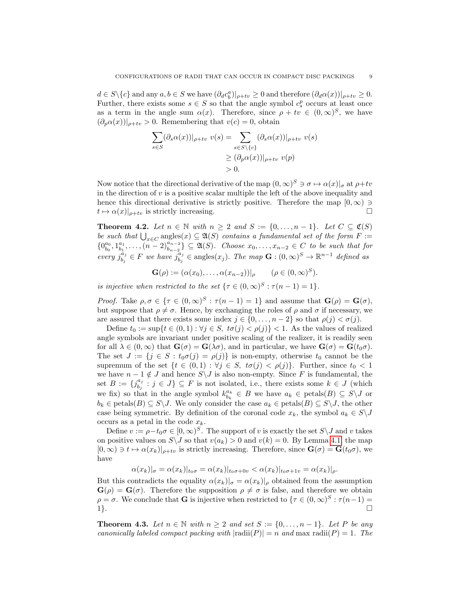$d \in S \setminus \{c\}$  and any  $a, b \in S$  we have  $(\partial_d c_b^a)|_{\rho+tv} \ge 0$  and therefore  $(\partial_d \alpha(x))|_{\rho+tv} \ge 0$ . Further, there exists some  $s \in S$  so that the angle symbol  $c_s^p$  occurs at least once as a term in the angle sum  $\alpha(x)$ . Therefore, since  $\rho + tv \in (0, \infty)^S$ , we have  $(\partial_p \alpha(x))|_{\rho+tv} > 0$ . Remembering that  $v(c) = 0$ , obtain

$$
\sum_{s \in S} (\partial_s \alpha(x))|_{\rho + tv} v(s) = \sum_{s \in S \setminus \{c\}} (\partial_s \alpha(x))|_{\rho + tv} v(s)
$$
  
\n
$$
\geq (\partial_p \alpha(x))|_{\rho + tv} v(p)
$$
  
\n
$$
> 0.
$$

Now notice that the directional derivative of the map  $(0, \infty)^S \ni \sigma \mapsto \alpha(x)|_{\sigma}$  at  $\rho+tv$ in the direction of  $v$  is a positive scalar multiple the left of the above inequality and hence this directional derivative is strictly positive. Therefore the map  $[0, \infty) \ni$  $t \mapsto \alpha(x)|_{\rho+tv}$  is strictly increasing.

<span id="page-8-0"></span>**Theorem 4.2.** Let  $n \in \mathbb{N}$  with  $n \geq 2$  and  $S := \{0, \ldots, n-1\}$ . Let  $C \subseteq \mathfrak{C}(S)$ be such that  $\bigcup_{x \in C} \text{angles}(x) \subseteq \mathfrak{A}(S)$  contains a fundamental set of the form  $F :=$ be such that  $\bigcup_{x \in C} \text{angles}(x) \subseteq \mathfrak{A}(S)$  contains a janual entails set by the joint  $T := \{0_{b_0}^{a_0}, 1_{b_1}^{a_1}, \ldots, (n-2)_{b_{n-2}}^{a_{n-2}}\} \subseteq \mathfrak{A}(S)$ . Choose  $x_0, \ldots, x_{n-2} \in C$  to be such that for every  $j_h^{\hat{a}_j}$  $\overline{\dot{a}}_j^{\tilde{a}_j} \in F$  we have  $\overline{j}_{b_j}^{\tilde{a}_j}$  $b_j^{a_j} \in \text{angles}(x_j)$ . The map  $\mathbf{G} : (0, \infty)^S \to \mathbb{R}^{n-1}$  defined as

 $\mathbf{G}(\rho) := (\alpha(x_0), \dots, \alpha(x_{n-2}))|_{\rho} \quad (\rho \in (0, \infty)^S).$ 

is injective when restricted to the set  $\{\tau \in (0,\infty)^S : \tau(n-1)=1\}.$ 

*Proof.* Take  $\rho, \sigma \in {\tau \in (0, \infty)^S : \tau(n-1) = 1}$  and assume that  $\mathbf{G}(\rho) = \mathbf{G}(\sigma)$ , but suppose that  $\rho \neq \sigma$ . Hence, by exchanging the roles of  $\rho$  and  $\sigma$  if necessary, we are assured that there exists some index  $j \in \{0, \ldots, n-2\}$  so that  $\rho(j) < \sigma(j)$ .

Define  $t_0 := \sup\{t \in (0,1) : \forall j \in S, t\sigma(j) < \rho(j)\} < 1$ . As the values of realized angle symbols are invariant under positive scaling of the realizer, it is readily seen for all  $\lambda \in (0,\infty)$  that  $\mathbf{G}(\sigma) = \mathbf{G}(\lambda \sigma)$ , and in particular, we have  $\mathbf{G}(\sigma) = \mathbf{G}(t_0\sigma)$ . The set  $J := \{j \in S : t_0\sigma(j) = \rho(j)\}\$ is non-empty, otherwise  $t_0$  cannot be the supremum of the set  $\{t \in (0,1) : \forall j \in S, t\sigma(j) < \rho(j)\}.$  Further, since  $t_0 < 1$ we have  $n - 1 \notin J$  and hence  $S \backslash J$  is also non-empty. Since F is fundamental, the set  $B := \{j_h^{a_j}\}$  $\begin{array}{c} a_j \ b_j : j \in J \} \subseteq F \end{array}$  is not isolated, i.e., there exists some  $k \in J$  (which we fix) so that in the angle symbol  $k_{b_k}^{a_k} \in B$  we have  $a_k \in \text{petals}(B) \subseteq S \setminus J$  or  $b_k \in \text{petals}(B) \subseteq S \setminus J$ . We only consider the case  $a_k \in \text{petals}(B) \subseteq S \setminus J$ , the other case being symmetric. By definition of the coronal code  $x_k$ , the symbol  $a_k \in S \backslash J$ occurs as a petal in the code  $x_k$ .

Define  $v := \rho - t_0 \sigma \in [0, \infty)^S$ . The support of v is exactly the set  $S \setminus J$  and v takes on positive values on  $S \backslash J$  so that  $v(a_k) > 0$  and  $v(k) = 0$ . By Lemma [4.1,](#page-7-2) the map  $[0, \infty) \ni t \mapsto \alpha(x_k)|_{\rho+t\upsilon}$  is strictly increasing. Therefore, since  $\mathbf{G}(\sigma) = \mathbf{G}(t_0\sigma)$ , we have

$$
\alpha(x_k)|_{\sigma} = \alpha(x_k)|_{t_0\sigma} = \alpha(x_k)|_{t_0\sigma + 0v} < \alpha(x_k)|_{t_0\sigma + 1v} = \alpha(x_k)|_{\rho}.
$$

But this contradicts the equality  $\alpha(x_k)|_{\sigma} = \alpha(x_k)|_{\rho}$  obtained from the assumption  $\mathbf{G}(\rho) = \mathbf{G}(\sigma)$ . Therefore the supposition  $\rho \neq \sigma$  is false, and therefore we obtain  $\rho = \sigma$ . We conclude that **G** is injective when restricted to  $\{\tau \in (0, \infty)^S : \tau(n-1) =$  $\Box$ 

<span id="page-8-1"></span>**Theorem 4.3.** Let  $n \in \mathbb{N}$  with  $n \geq 2$  and set  $S := \{0, \ldots, n-1\}$ . Let P be any canonically labeled compact packing with  $|\text{radi}(P)| = n$  and  $\text{max radi}(P) = 1$ . The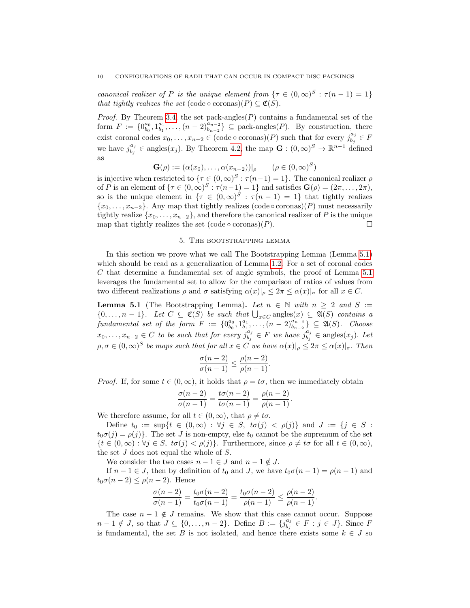canonical realizer of P is the unique element from  $\{\tau \in (0,\infty)^S : \tau(n-1)=1\}$ that tightly realizes the set  $(\text{code} \circ \text{coronas})(P) \subset \mathfrak{C}(S)$ .

*Proof.* By Theorem [3.4,](#page-7-1) the set pack-angles $(P)$  contains a fundamental set of the form  $F := \{0_{b_0}^{a_0}, 1_{b_1}^{a_1}, \ldots, (n-2)_{b_{n-2}}^{a_{n-2}}\} \subseteq \text{pack-angles}(P)$ . By construction, there exist coronal codes  $x_0, \ldots, x_{n-2} \in (\text{code} \circ \text{coronas})(P)$  such that for every  $j_{b_i}^{a_j}$  $\frac{a_j}{b_j} \in F$ we have  $j_{h_i}^{a_j}$  $b_j^{a_j} \in \text{angles}(x_j)$ . By Theorem [4.2,](#page-8-0) the map  $\mathbf{G} : (0, \infty)^S \to \mathbb{R}^{n-1}$  defined as

$$
\mathbf{G}(\rho) := (\alpha(x_0), \dots, \alpha(x_{n-2}))|_{\rho} \qquad (\rho \in (0, \infty)^S)
$$

is injective when restricted to  $\{\tau \in (0,\infty)^S : \tau(n-1)=1\}$ . The canonical realizer  $\rho$ of P is an element of  $\{\tau \in (0,\infty)^S : \tau(n-1)=1\}$  and satisfies  $\mathbf{G}(\rho)=(2\pi,\ldots,2\pi)$ , so is the unique element in  $\{\tau \in (0,\infty)^S : \tau(n-1) = 1\}$  that tightly realizes  ${x_0, \ldots, x_{n-2}}$ . Any map that tightly realizes (code ∘ coronas)(P) must necessarily tightly realize  $\{x_0, \ldots, x_{n-2}\}$ , and therefore the canonical realizer of P is the unique map that tightly realizes the set  $(\text{code} \circ \text{coronas})(P)$ .

#### 5. The bootstrapping lemma

<span id="page-9-0"></span>In this section we prove what we call The Bootstrapping Lemma (Lemma [5.1\)](#page-9-1) which should be read as a generalization of Lemma [1.2.](#page-2-0) For a set of coronal codes C that determine a fundamental set of angle symbols, the proof of Lemma [5.1](#page-9-1) leverages the fundamental set to allow for the comparison of ratios of values from two different realizations  $\rho$  and  $\sigma$  satisfying  $\alpha(x)|_{\rho} \leq 2\pi \leq \alpha(x)|_{\sigma}$  for all  $x \in C$ .

<span id="page-9-1"></span>**Lemma 5.1** (The Bootstrapping Lemma). Let  $n \in \mathbb{N}$  with  $n \geq 2$  and  $S :=$  $\{0,\ldots,n-1\}$ . Let  $C \subseteq \mathfrak{C}(S)$  be such that  $\bigcup_{x \in C} \text{angles}(x) \subseteq \mathfrak{A}(S)$  contains a fundamental set of the form  $F := \{0_{b_0}^{a_0}, 1_{b_1}^{a_1}, \ldots, (n-2)_{b_{n-2}}^{a_{n-2}}\} \subseteq \mathfrak{A}(S)$ . Choose  $x_0, \ldots, x_{n-2} \in C$  to be such that for every  $j_{b_i}^{a_j}$  $\hat{b}_j^{a_j} \in F$  we have  $\hat{j}_{b_j}^{a_j}$  $a_j^{a_j} \in \text{angles}(x_j)$ . Let  $\rho, \sigma \in (0, \infty)^S$  be maps such that for all  $x \in C$  we have  $\alpha(x)|_{\rho} \leq 2\pi \leq \alpha(x)|_{\sigma}$ . Then

$$
\frac{\sigma(n-2)}{\sigma(n-1)} \le \frac{\rho(n-2)}{\rho(n-1)}.
$$

*Proof.* If, for some  $t \in (0, \infty)$ , it holds that  $\rho = t\sigma$ , then we immediately obtain

$$
\frac{\sigma(n-2)}{\sigma(n-1)} = \frac{t\sigma(n-2)}{t\sigma(n-1)} = \frac{\rho(n-2)}{\rho(n-1)}.
$$

We therefore assume, for all  $t \in (0, \infty)$ , that  $\rho \neq t\sigma$ .

Define  $t_0 := \sup\{t \in (0,\infty) : \forall j \in S, t\sigma(j) < \rho(j)\}\$ and  $J := \{j \in S :$  $t_0\sigma(j) = \rho(j)$ . The set J is non-empty, else  $t_0$  cannot be the supremum of the set  $\{t \in (0,\infty): \forall j \in S, t\sigma(j) < \rho(j)\}\.$  Furthermore, since  $\rho \neq t\sigma$  for all  $t \in (0,\infty),$ the set J does not equal the whole of S.

We consider the two cases  $n - 1 \in J$  and  $n - 1 \notin J$ .

If  $n - 1 \in J$ , then by definition of  $t_0$  and J, we have  $t_0\sigma(n - 1) = \rho(n - 1)$  and  $t_0\sigma(n-2) \leq \rho(n-2)$ . Hence

$$
\frac{\sigma(n-2)}{\sigma(n-1)} = \frac{t_0 \sigma(n-2)}{t_0 \sigma(n-1)} = \frac{t_0 \sigma(n-2)}{\rho(n-1)} \le \frac{\rho(n-2)}{\rho(n-1)}.
$$

The case  $n-1 \notin J$  remains. We show that this case cannot occur. Suppose  $n-1 \notin J$ , so that  $J \subseteq \{0, \ldots, n-2\}$ . Define  $B := \{j_{h}^{a_j}\}$ .  $\begin{aligned} \begin{array}{c} a_j \\ b_j \end{array} \in F : j \in J \}$ . Since F is fundamental, the set B is not isolated, and hence there exists some  $k \in J$  so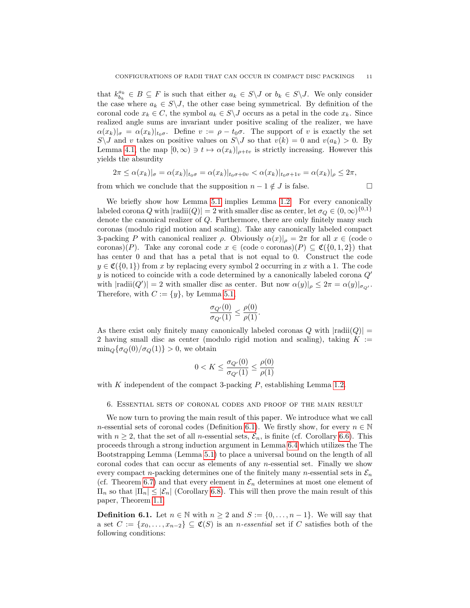that  $k_{b_k}^{a_k} \in B \subseteq F$  is such that either  $a_k \in S \backslash J$  or  $b_k \in S \backslash J$ . We only consider the case where  $a_k \in S \setminus J$ , the other case being symmetrical. By definition of the coronal code  $x_k \in C$ , the symbol  $a_k \in S \backslash J$  occurs as a petal in the code  $x_k$ . Since realized angle sums are invariant under positive scaling of the realizer, we have  $\alpha(x_k)|_{\sigma} = \alpha(x_k)|_{t_0\sigma}$ . Define  $v := \rho - t_0\sigma$ . The support of v is exactly the set  $S\setminus J$  and v takes on positive values on  $S\setminus J$  so that  $v(k) = 0$  and  $v(a_k) > 0$ . By Lemma [4.1,](#page-7-2) the map  $[0, \infty) \ni t \mapsto \alpha(x_k)|_{\rho+t\nu}$  is strictly increasing. However this yields the absurdity

$$
2\pi\leq \alpha(x_k)|_{\sigma}=\alpha(x_k)|_{t_0\sigma}=\alpha(x_k)|_{t_0\sigma+0v}<\alpha(x_k)|_{t_0\sigma+1v}=\alpha(x_k)|_{\rho}\leq 2\pi,
$$

from which we conclude that the supposition  $n - 1 \notin J$  is false.

We briefly show how Lemma [5.1](#page-9-1) implies Lemma [1.2.](#page-2-0) For every canonically labeled corona Q with  $|\text{radii}(Q)| = 2$  with smaller disc as center, let  $\sigma_Q \in (0, \infty)^{\{0,1\}}$ denote the canonical realizer of Q. Furthermore, there are only finitely many such coronas (modulo rigid motion and scaling). Take any canonically labeled compact 3-packing P with canonical realizer  $\rho$ . Obviously  $\alpha(x)|_{\rho} = 2\pi$  for all  $x \in (\text{code} \circ$ coronas)(P). Take any coronal code  $x \in (\text{code} \circ \text{coronas})(P) \subseteq \mathfrak{C}(\{0,1,2\})$  that has center 0 and that has a petal that is not equal to 0. Construct the code  $y \in \mathfrak{C}(\{0,1\})$  from x by replacing every symbol 2 occurring in x with a 1. The code y is noticed to coincide with a code determined by a canonically labeled corona  $Q'$ with  $|\text{radii}(Q')|=2$  with smaller disc as center. But now  $\alpha(y)|_{\rho} \leq 2\pi = \alpha(y)|_{\sigma_{Q'}}$ . Therefore, with  $C := \{y\}$ , by Lemma [5.1,](#page-9-1)

$$
\frac{\sigma_{Q'}(0)}{\sigma_{Q'}(1)} \leq \frac{\rho(0)}{\rho(1)}.
$$

As there exist only finitely many canonically labeled coronas  $Q$  with  $|{\rm radii}(Q)| =$ 2 having small disc as center (modulo rigid motion and scaling), taking  $K :=$  $\min_{Q} {\sigma_Q(0)}/{\sigma_Q(1)} > 0$ , we obtain

$$
0 < K \le \frac{\sigma_{Q'}(0)}{\sigma_{Q'}(1)} \le \frac{\rho(0)}{\rho(1)}
$$

with K independent of the compact 3-packing  $P$ , establishing Lemma [1.2.](#page-2-0)

<span id="page-10-0"></span>6. Essential sets of coronal codes and proof of the main result

We now turn to proving the main result of this paper. We introduce what we call n-essential sets of coronal codes (Definition [6.1\)](#page-10-1). We firstly show, for every  $n \in \mathbb{N}$ with  $n \geq 2$ , that the set of all *n*-essential sets,  $\mathcal{E}_n$ , is finite (cf. Corollary [6.6\)](#page-13-0). This proceeds through a strong induction argument in Lemma [6.4](#page-11-0) which utilizes the The Bootstrapping Lemma (Lemma [5.1\)](#page-9-1) to place a universal bound on the length of all coronal codes that can occur as elements of any  $n$ -essential set. Finally we show every compact n-packing determines one of the finitely many n-essential sets in  $\mathcal{E}_n$ (cf. Theorem [6.7\)](#page-13-3) and that every element in  $\mathcal{E}_n$  determines at most one element of  $\Pi_n$  so that  $|\Pi_n| \leq |\mathcal{E}_n|$  (Corollary [6.8\)](#page-13-1). This will then prove the main result of this paper, Theorem [1.1.](#page-1-0)

<span id="page-10-1"></span>**Definition 6.1.** Let  $n \in \mathbb{N}$  with  $n \geq 2$  and  $S := \{0, \ldots, n-1\}$ . We will say that a set  $C := \{x_0, \ldots, x_{n-2}\} \subseteq \mathfrak{C}(S)$  is an *n*-essential set if C satisfies both of the following conditions: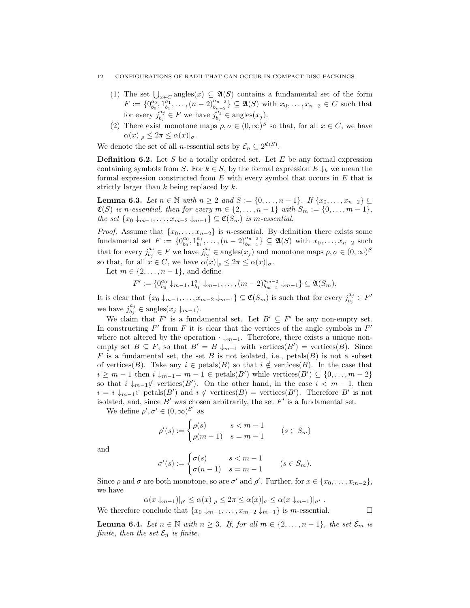#### 12 CONFIGURATIONS OF RADII THAT CAN OCCUR IN COMPACT DISC PACKINGS

- (1) The set  $\bigcup_{x \in C} \text{angles}(x) \subseteq \mathfrak{A}(S)$  contains a fundamental set of the form  $F := \{0_{b_0}^{a_0}, 1_{b_1}^{a_1}, \ldots, (n-2)_{b_{n-2}}^{a_{n-2}}\} \subseteq \mathfrak{A}(S)$  with  $x_0, \ldots, x_{n-2} \in C$  such that for every  $j_h^{a_j}$  $\mathbf{b}_j^{a_j} \in F$  we have  $\mathbf{b}_j^{\ddot{a}_j}$  $a_j \atop b_j \in \text{angles}(x_j).$
- (2) There exist monotone maps  $\rho, \sigma \in (0, \infty)^S$  so that, for all  $x \in C$ , we have  $\alpha(x)|_{\rho} \leq 2\pi \leq \alpha(x)|_{\sigma}.$

We denote the set of all *n*-essential sets by  $\mathcal{E}_n \subseteq 2^{\mathfrak{C}(S)}$ .

**Definition 6.2.** Let  $S$  be a totally ordered set. Let  $E$  be any formal expression containing symbols from S. For  $k \in S$ , by the formal expression  $E \downarrow_k$  we mean the formal expression constructed from  $E$  with every symbol that occurs in  $E$  that is strictly larger than  $k$  being replaced by  $k$ .

<span id="page-11-1"></span>**Lemma 6.3.** Let  $n \in \mathbb{N}$  with  $n \ge 2$  and  $S := \{0, ..., n-1\}$ . If  $\{x_0, ..., x_{n-2}\}$  $\mathfrak{C}(S)$  is n-essential, then for every  $m \in \{2, \ldots, n-1\}$  with  $S_m := \{0, \ldots, m-1\}$ , the set  $\{x_0 \downarrow_{m-1}, \ldots, x_{m-2} \downarrow_{m-1}\} \subseteq \mathfrak{C}(S_m)$  is m-essential.

*Proof.* Assume that  $\{x_0, \ldots, x_{n-2}\}$  is *n*-essential. By definition there exists some fundamental set  $F := \{0_{b_0}^{a_0}, 1_{b_1}^{a_1}, \ldots, (n-2)_{b_{n-2}}^{a_{n-2}}\} \subseteq \mathfrak{A}(S)$  with  $x_0, \ldots, x_{n-2}$  such that for every  $j_{h_i}^{a_j}$  $b_j^{a_j} \in F$  we have  $j_{b_j}^{a_j}$  $\theta_{b_j}^{a_j} \in \text{angles}(x_j)$  and monotone maps  $\rho, \sigma \in (0, \infty)^S$ so that, for all  $x \in C$ , we have  $\alpha(x)|_{\rho} \leq 2\pi \leq \alpha(x)|_{\sigma}$ .

Let  $m \in \{2, \ldots, n-1\}$ , and define

$$
F' := \{0_{b_0}^{a_0} \downarrow_{m-1}, 1_{b_1}^{a_1} \downarrow_{m-1}, \dots, (m-2)_{b_{m-2}}^{a_{m-2}} \downarrow_{m-1}\} \subseteq \mathfrak{A}(S_m).
$$

It is clear that  $\{x_0 \downarrow_{m-1}, \ldots, x_{m-2} \downarrow_{m-1}\} \subseteq \mathfrak{C}(S_m)$  is such that for every  $j_{b_i}^{a_j}$  $\frac{a_j}{b_j} \in F'$ we have  $j_{h_i}^{a_j}$  $b_j^{a_j} \in \text{angles}(x_j \downarrow_{m-1}).$ 

We claim that F' is a fundamental set. Let  $B' \subseteq F'$  be any non-empty set. In constructing  $F'$  from  $F$  it is clear that the vertices of the angle symbols in  $F'$ where not altered by the operation  $\cdot \downarrow_{m-1}$ . Therefore, there exists a unique nonempty set  $B \subseteq F$ , so that  $B' = B \downarrow_{m-1}$  with vertices $(B')$  = vertices $(B)$ . Since F is a fundamental set, the set B is not isolated, i.e., petals(B) is not a subset of vertices(B). Take any  $i \in \text{petals}(B)$  so that  $i \notin \text{vertices}(B)$ . In the case that  $i \geq m-1$  then  $i \downarrow_{m-1} = m-1 \in \text{petals}(B')$  while vertices $(B') \subseteq \{0, \ldots, m-2\}$ so that  $i \downarrow_{m-1} \notin \text{vertices}(B')$ . On the other hand, in the case  $i < m-1$ , then  $i = i \downarrow_{m-1} \in {\text{petals}}(B')$  and  $i \notin {\text{vertices}}(B) = {\text{vertices}}(B')$ . Therefore B' is not isolated, and, since  $B'$  was chosen arbitrarily, the set  $F'$  is a fundamental set.

We define  $\rho', \sigma' \in (0, \infty)^{S'}$  as

$$
\rho'(s) := \begin{cases} \rho(s) & s < m-1 \\ \rho(m-1) & s = m-1 \end{cases} \qquad (s \in S_m)
$$

and

$$
\sigma'(s) := \begin{cases} \sigma(s) & s < m-1 \\ \sigma(n-1) & s = m-1 \end{cases} \quad (s \in S_m).
$$

Since  $\rho$  and  $\sigma$  are both monotone, so are  $\sigma'$  and  $\rho'$ . Further, for  $x \in \{x_0, \ldots, x_{m-2}\},$ we have

 $\alpha(x \downarrow_{m-1})|_{\alpha'} \leq \alpha(x)|_{\alpha} \leq 2\pi \leq \alpha(x)|_{\alpha} \leq \alpha(x \downarrow_{m-1})|_{\alpha'}$ 

We therefore conclude that  $\{x_0 \downarrow_{m-1}, \ldots, x_{m-2} \downarrow_{m-1}\}$  is m-essential.  $\Box$ 

<span id="page-11-0"></span>**Lemma 6.4.** Let  $n \in \mathbb{N}$  with  $n \geq 3$ . If, for all  $m \in \{2, \ldots, n-1\}$ , the set  $\mathcal{E}_m$  is finite, then the set  $\mathcal{E}_n$  is finite.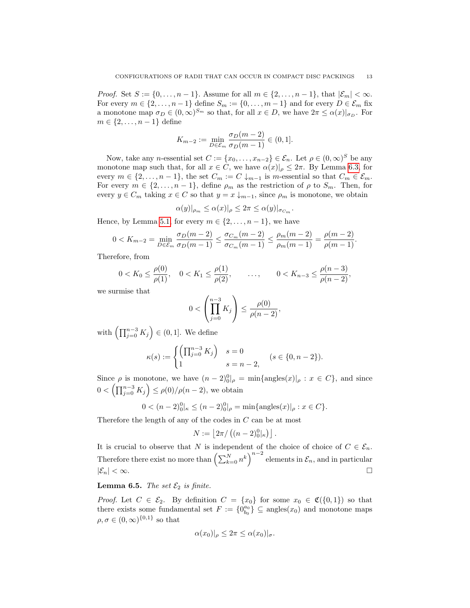*Proof.* Set  $S := \{0, \ldots, n-1\}$ . Assume for all  $m \in \{2, \ldots, n-1\}$ , that  $|\mathcal{E}_m| < \infty$ . For every  $m \in \{2, ..., n-1\}$  define  $S_m := \{0, ..., m-1\}$  and for every  $D \in \mathcal{E}_m$  fix a monotone map  $\sigma_D \in (0,\infty)^{S_m}$  so that, for all  $x \in D$ , we have  $2\pi \leq \alpha(x)|_{\sigma_D}$ . For  $m \in \{2, \ldots, n-1\}$  define

$$
K_{m-2} := \min_{D \in \mathcal{E}_m} \frac{\sigma_D(m-2)}{\sigma_D(m-1)} \in (0,1].
$$

Now, take any *n*-essential set  $C := \{x_0, \ldots, x_{n-2}\} \in \mathcal{E}_n$ . Let  $\rho \in (0, \infty)^S$  be any monotone map such that, for all  $x \in C$ , we have  $\alpha(x)|_{\rho} \leq 2\pi$ . By Lemma [6.3,](#page-11-1) for every  $m \in \{2, \ldots, n-1\}$ , the set  $C_m := C \downarrow_{m-1}$  is m-essential so that  $C_m \in \mathcal{E}_m$ . For every  $m \in \{2, ..., n-1\}$ , define  $\rho_m$  as the restriction of  $\rho$  to  $S_m$ . Then, for every  $y \in C_m$  taking  $x \in C$  so that  $y = x \downarrow_{m-1}$ , since  $\rho_m$  is monotone, we obtain

$$
\alpha(y)|_{\rho_m} \le \alpha(x)|_{\rho} \le 2\pi \le \alpha(y)|_{\sigma_{C_m}}.
$$

Hence, by Lemma [5.1,](#page-9-1) for every  $m \in \{2, \ldots, n-1\}$ , we have

$$
0 < K_{m-2} = \min_{D \in \mathcal{E}_m} \frac{\sigma_D(m-2)}{\sigma_D(m-1)} \le \frac{\sigma_{C_m}(m-2)}{\sigma_{C_m}(m-1)} \le \frac{\rho_m(m-2)}{\rho_m(m-1)} = \frac{\rho(m-2)}{\rho(m-1)}.
$$

Therefore, from

$$
0 < K_0 \le \frac{\rho(0)}{\rho(1)}, \quad 0 < K_1 \le \frac{\rho(1)}{\rho(2)}, \quad \dots, \quad 0 < K_{n-3} \le \frac{\rho(n-3)}{\rho(n-2)},
$$

we surmise that

$$
0 < \left(\prod_{j=0}^{n-3} K_j\right) \le \frac{\rho(0)}{\rho(n-2)},
$$

with  $\left(\prod_{j=0}^{n-3} K_j\right) \in (0,1].$  We define

$$
\kappa(s) := \begin{cases} \left(\prod_{j=0}^{n-3} K_j\right) & s = 0\\ 1 & s = n-2, \end{cases} \quad (s \in \{0, n-2\}).
$$

Since  $\rho$  is monotone, we have  $(n-2)_{0}^{0}|_{\rho} = \min\{\text{angles}(x)|_{\rho} : x \in C\}$ , and since  $0 < (\prod_{j=0}^{n-3} K_j) \le \rho(0) / \rho(n-2)$ , we obtain

$$
0 < (n-2)_0^0|_{\kappa} \le (n-2)_0^0|_{\rho} = \min\{\text{angles}(x)|_{\rho} : x \in C\}.
$$

Therefore the length of any of the codes in C can be at most

$$
N := \left\lfloor 2\pi / \left( (n-2)_0^0 \vert_{\kappa} \right) \right\rfloor.
$$

It is crucial to observe that N is independent of the choice of choice of  $C \in \mathcal{E}_n$ . Therefore there exist no more than  $\left(\sum_{k=0}^{N} n^k\right)^{n-2}$  elements in  $\mathcal{E}_n$ , and in particular  $|\mathcal{E}_n| < \infty.$ 

# <span id="page-12-0"></span>**Lemma 6.5.** The set  $\mathcal{E}_2$  is finite.

*Proof.* Let  $C \in \mathcal{E}_2$ . By definition  $C = \{x_0\}$  for some  $x_0 \in \mathfrak{C}(\{0,1\})$  so that there exists some fundamental set  $F := \{0_{b_0}^{a_0}\}\subseteq \text{angles}(x_0)$  and monotone maps  $\rho, \sigma \in (0, \infty)^{\{0,1\}}$  so that

$$
\alpha(x_0)|_\rho \le 2\pi \le \alpha(x_0)|_\sigma.
$$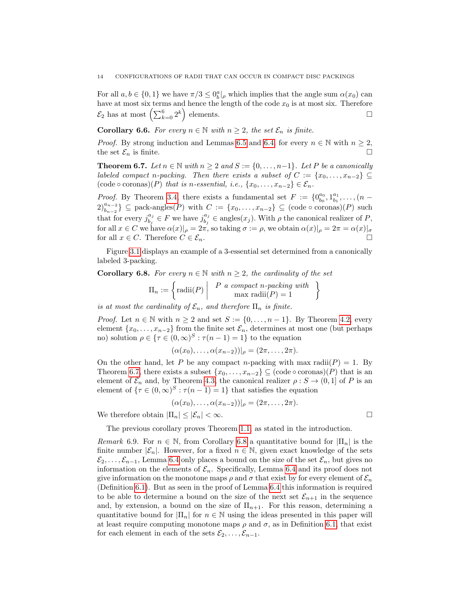For all  $a, b \in \{0, 1\}$  we have  $\pi/3 \leq 0^a_b$ , which implies that the angle sum  $\alpha(x_0)$  can have at most six terms and hence the length of the code  $x_0$  is at most six. Therefore  $\mathcal{E}_2$  has at most  $\left(\sum_{k=0}^6 2^k\right)$  elements.

<span id="page-13-0"></span>**Corollary 6.6.** For every  $n \in \mathbb{N}$  with  $n \geq 2$ , the set  $\mathcal{E}_n$  is finite.

*Proof.* By strong induction and Lemmas [6.5](#page-12-0) and [6.4,](#page-11-0) for every  $n \in \mathbb{N}$  with  $n \geq 2$ , the set  $\mathcal{E}_n$  is finite.

<span id="page-13-3"></span>**Theorem 6.7.** Let  $n \in \mathbb{N}$  with  $n \geq 2$  and  $S := \{0, \ldots, n-1\}$ . Let P be a canonically labeled compact n-packing. Then there exists a subset of  $C := \{x_0, \ldots, x_{n-2}\} \subseteq$  $(\text{code}\circ \text{coronas})(P)$  that is n-essential, i.e.,  $\{x_0, \ldots, x_{n-2}\} \in \mathcal{E}_n$ .

*Proof.* By Theorem [3.4,](#page-7-1) there exists a fundamental set  $F := \{0_{b_0}^{a_0}, 1_{b_1}^{a_1}, \ldots, (n-1_{b_n})\}$  $2\binom{a_{n-2}}{b_{n-2}} \subseteq \text{pack-angles}(P)$  with  $C := \{x_0, \ldots, x_{n-2}\} \subseteq (\text{code} \circ \text{corons})(P)$  such that for every  $j_{h_i}^{a_j}$  $a_j^{a_j} \in F$  we have  $j_{b_j}^{a_j}$  $b_j^{a_j} \in \text{angles}(x_j)$ . With  $\rho$  the canonical realizer of P, for all  $x \in C$  we have  $\alpha(x)|_{\rho} = 2\pi$ , so taking  $\sigma := \rho$ , we obtain  $\alpha(x)|_{\rho} = 2\pi = \alpha(x)|_{\sigma}$ for all  $x \in C$ . Therefore  $C \in \mathcal{E}_n$ .

Figure [3.1](#page-7-3) displays an example of a 3-essential set determined from a canonically labeled 3-packing.

<span id="page-13-1"></span>**Corollary 6.8.** For every  $n \in \mathbb{N}$  with  $n \geq 2$ , the cardinality of the set

$$
\Pi_n := \left\{ \text{radii}(P) \middle| P \text{ a compact } n\text{-packing with} \atop \max \text{ radii}(P) = 1 \right\}
$$

is at most the cardinality of  $\mathcal{E}_n$ , and therefore  $\Pi_n$  is finite.

*Proof.* Let  $n \in \mathbb{N}$  with  $n \geq 2$  and set  $S := \{0, \ldots, n-1\}$ . By Theorem [4.2,](#page-8-0) every element  $\{x_0, \ldots, x_{n-2}\}$  from the finite set  $\mathcal{E}_n$ , determines at most one (but perhaps no) solution  $\rho \in {\tau \in (0, \infty)^S : \tau(n-1) = 1}$  to the equation

$$
(\alpha(x_0),\ldots,\alpha(x_{n-2}))|_{\rho}=(2\pi,\ldots,2\pi).
$$

On the other hand, let P be any compact n-packing with max radii( $P$ ) = 1. By Theorem [6.7,](#page-13-3) there exists a subset  $\{x_0, \ldots, x_{n-2}\} \subseteq (\text{code} \circ \text{coronas})(P)$  that is an element of  $\mathcal{E}_n$  and, by Theorem [4.3,](#page-8-1) the canonical realizer  $\rho : S \to (0,1]$  of P is an element of  $\{\tau \in (0,\infty)^S : \tau(n-1)=1\}$  that satisfies the equation

$$
(\alpha(x_0),\ldots,\alpha(x_{n-2}))|_{\rho}=(2\pi,\ldots,2\pi).
$$

We therefore obtain  $|\Pi_n| \leq |\mathcal{E}_n| < \infty$ .

The previous corollary proves Theorem [1.1,](#page-1-0) as stated in the introduction.

<span id="page-13-2"></span>Remark 6.9. For  $n \in \mathbb{N}$ , from Corollary [6.8](#page-13-1) a quantitative bound for  $|\Pi_n|$  is the finite number  $|\mathcal{E}_n|$ . However, for a fixed  $n \in \mathbb{N}$ , given exact knowledge of the sets  $\mathcal{E}_2, \ldots, \mathcal{E}_{n-1}$ , Lemma [6.4](#page-11-0) only places a bound on the size of the set  $\mathcal{E}_n$ , but gives no information on the elements of  $\mathcal{E}_n$ . Specifically, Lemma [6.4](#page-11-0) and its proof does not give information on the monotone maps  $\rho$  and  $\sigma$  that exist by for every element of  $\mathcal{E}_n$ (Definition [6.1\)](#page-10-1). But as seen in the proof of Lemma [6.4](#page-11-0) this information is required to be able to determine a bound on the size of the next set  $\mathcal{E}_{n+1}$  in the sequence and, by extension, a bound on the size of  $\Pi_{n+1}$ . For this reason, determining a quantitative bound for  $|\Pi_n|$  for  $n \in \mathbb{N}$  using the ideas presented in this paper will at least require computing monotone maps  $\rho$  and  $\sigma$ , as in Definition [6.1,](#page-10-1) that exist for each element in each of the sets  $\mathcal{E}_2, \ldots, \mathcal{E}_{n-1}$ .